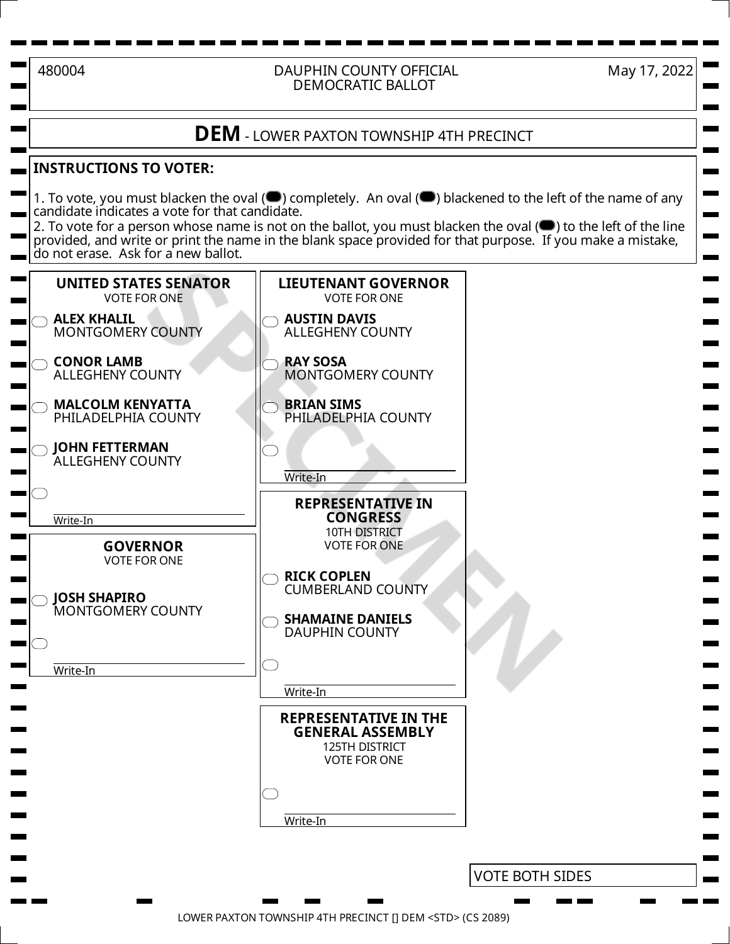## 480004 DAUPHIN COUNTY OFFICIAL DEMOCRATIC BALLOT

May 17, 2022

## **DEM** - LOWER PAXTON TOWNSHIP 4TH PRECINCT

## **INSTRUCTIONS TO VOTER:**

1. To vote, you must blacken the oval (<sup>1</sup>) completely. An oval (<sup>2</sup>) blackened to the left of the name of any candidate indicates a vote for that candidate.

2. To vote for a person whose name is not on the ballot, you must blacken the oval  $($ **)** to the left of the line provided, and write or print the name in the blank space provided for that purpose. If you make a mistake, do not erase. Ask for a new ballot.



VOTE BOTH SIDES